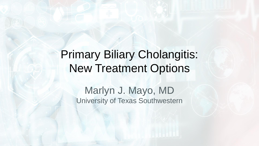# Primary Biliary Cholangitis: New Treatment Options

Marlyn J. Mayo, MD University of Texas Southwestern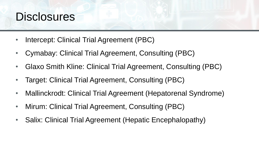# **Disclosures**

- Intercept: Clinical Trial Agreement (PBC)
- Cymabay: Clinical Trial Agreement, Consulting (PBC)
- Glaxo Smith Kline: Clinical Trial Agreement, Consulting (PBC)
- Target: Clinical Trial Agreement, Consulting (PBC)
- Mallinckrodt: Clinical Trial Agreement (Hepatorenal Syndrome)
- Mirum: Clinical Trial Agreement, Consulting (PBC)
- Salix: Clinical Trial Agreement (Hepatic Encephalopathy)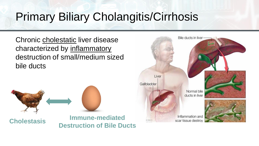# Primary Biliary Cholangitis/Cirrhosis

Chronic cholestatic liver disease characterized by inflammatory destruction of small/medium sized bile ducts



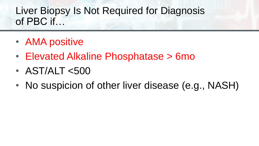## Liver Biopsy Is Not Required for Diagnosis of PBC if…

- AMA positive
- Elevated Alkaline Phosphatase > 6mo
- AST/ALT <500
- No suspicion of other liver disease (e.g., NASH)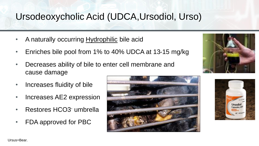## Ursodeoxycholic Acid (UDCA,Ursodiol, Urso)

- A naturally occurring Hydrophilic bile acid
- Enriches bile pool from 1% to 40% UDCA at 13-15 mg/kg
- Decreases ability of bile to enter cell membrane and cause damage
- Increases fluidity of bile
- Increases AE2 expression
- Restores HCO3- umbrella
- FDA approved for PBC







Ursus=Bear.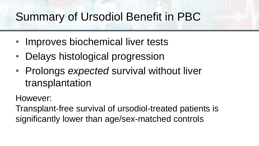# Summary of Ursodiol Benefit in PBC

- Improves biochemical liver tests
- Delays histological progression
- Prolongs *expected* survival without liver transplantation

#### However:

Transplant-free survival of ursodiol-treated patients is significantly lower than age/sex-matched controls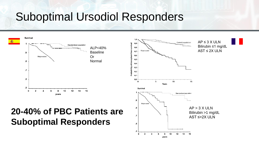# Suboptimal Ursodiol Responders

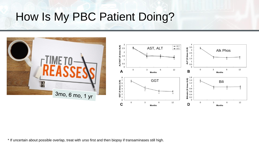# How Is My PBC Patient Doing?



\* If uncertain about possible overlap, treat with urso first and then biopsy if transaminases still high.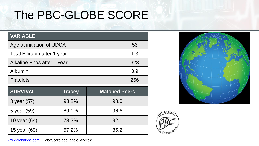# The PBC-GLOBE SCORE

| <b>VARIABLE</b>              |     |
|------------------------------|-----|
| Age at initiation of UDCA    | 53  |
| Total Bilirubin after 1 year | 1.3 |
| Alkaline Phos after 1 year   | 323 |
| Albumin                      | 3.9 |
| <b>Platelets</b>             | 256 |

| <b>SURVIVAL</b> | <b>Tracey</b> | <b>Matched Peers</b> |
|-----------------|---------------|----------------------|
| 3 year (57)     | 93.8%         | 98.0                 |
| 5 year (59)     | 89.1%         | 96.6                 |
| 10 year (64)    | 73.2%         | 92.1                 |
| 15 year (69)    | 57.2%         | 85.2                 |





[www.globalpbc.com;](http://www.globalpbc.com/) GlobeScore app (apple, android).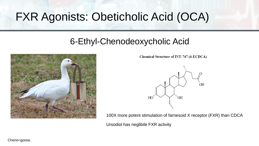# FXR Agonists: Obeticholic Acid (OCA)

### 6-Ethyl-Chenodeoxycholic Acid



Chemical Structure of INT-747 (6-ECDCA)



100X more potent stimulation of farnesoid X receptor (FXR) than CDCA Ursodiol has neglibile FXR activity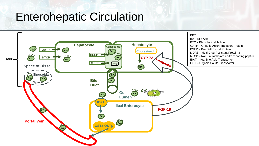# Enterohepatic Circulation

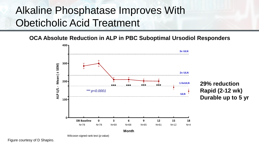## Alkaline Phosphatase Improves With Obeticholic Acid Treatment

**OCA Absolute Reduction in ALP in PBC Suboptimal Ursodiol Responders**



Wilcoxon signed rank test (p-value)

Figure courtesy of D Shapiro.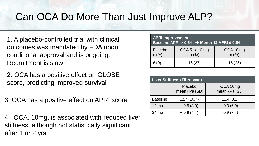## Can OCA Do More Than Just Improve ALP?

- 1. A placebo-controlled trial with clinical outcomes was mandated by FDA upon conditional approval and is ongoing. Recruitment is slow
- 2. OCA has a positive effect on GLOBE score, predicting improved survival
- 3. OCA has a positive effect on APRI score

4. OCA, 10mg, is associated with reduced liver stiffness, although not statistically significant after 1 or 2 yrs

| <b>APRI Improvement</b><br>Baseline APRI > $0.54$ $\rightarrow$ Month 12 APRI $\leq 0.54$ |                            |                      |  |
|-------------------------------------------------------------------------------------------|----------------------------|----------------------|--|
| Placebo<br>$n$ (%)                                                                        | $OCA 5 - > 10$ mg<br>n (%) | OCA 10 mg<br>$n$ (%) |  |
| 6(9)                                                                                      | 16(27)                     | 15(25)               |  |

| Liver Stiffness (Fibroscan) |                          |                           |  |
|-----------------------------|--------------------------|---------------------------|--|
|                             | Placebo<br>mean kPa (SD) | OCA 10mg<br>mean kPa (SD) |  |
| <b>Baseline</b>             | 12.7(10.7)               | 11.4(8.2)                 |  |
| $12 \text{ mo}$             | $+0.5(3.0)$              | $-0.3(6.9)$               |  |
| 24 mo                       | $+0.9(4.4)$              | $-0.9(7.4)$               |  |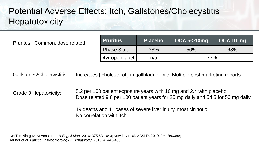### Potential Adverse Effects: Itch, Gallstones/Cholecystitis **Hepatotoxicity**

**Pruritus: Common, dose related** 

| <b>Pruritus</b> | <b>Placebo</b> | <b>OCA 5-&gt;10mg</b> | OCA 10 mg |
|-----------------|----------------|-----------------------|-----------|
| Phase 3 trial   | 38%            | 56%                   | 68%       |
| 4yr open label  | n/a            | 77%                   |           |

Gallstones/Cholecystitis: Increases [ cholesterol ] in gallbladder bile. Multiple post marketing reports

Grade 3 Hepatoxicity: 5.2 per 100 patient exposure years with 10 mg and 2.4 with placebo. Dose related 9.8 per 100 patient years for 25 mg daily and 54.5 for 50 mg daily 19 deaths and 11 cases of severe liver injury, most cirrhotic

No correlation with itch

LiverTox.Nih.gov; Nevens et al. *N Engl J Med.* 2016; 375:631-643; Kowdley et al. AASLD. 2019. *LateBreaker*; Trauner et al. *Lancet Gastroenterology & Hepatology*. 2019; 4, 445-453.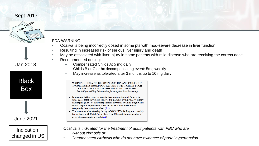#### Sept 2017



**Black** 

Jan 2018

Box

#### FDA WARNING:

- Ocaliva is being incorrectly dosed in some pts with mod-severe decrease in liver function
- Resulting in increased risk of serious liver injury and death
- May be associated with liver injury in some patients with mild disease who are receiving the correct dose
- Recommended dosing:
	- Compensated Childs A: 5 mg daily
	- Childs B or C or hx decompensating event: 5mg weekly
	- May increase as tolerated after 3 months up to 10 mg daily

WARNING: HEPATIC DECOMPENSATION AND FAILURE IN **INCORRECTLY DOSED PBC PATIENTS WITH CHILD-PUGH CLASS B OR C OR DECOMPENSATED CIRRHOSIS** See full prescribing information for complete boxed warning

- In postmarketing reports, hepatic decompensation and failure, in some cases fatal, have been reported in patients with primary biliary cholangitis (PBC) with decompensated cirrhosis or Child-Pugh Class B or C hepatic impairment when OCALIVA was dosed more frequently than recommended.  $(5.1)$
- The recommended starting dosage of OCALIVA is 5 mg once weekly for patients with Child-Pugh Class B or C hepatic impairment or a prior decompensation event. (2.2)

Indication changed in US

June 2021

*Ocaliva is indicated for the treatment of adult patients with PBC who are*

- *Without cirrhosis or*
- *Compensated cirrhosis who do not have evidence of portal hypertension*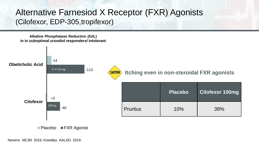#### Alternative Farnesiod X Receptor (FXR) Agonists (Cilofexor, EDP-305,tropifexor)

**Alkaline Phosphatase Reduction (IU/L) in in suboptimal ursodiol responders/ intolerant**



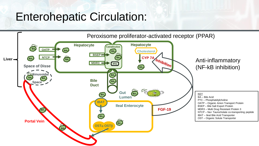# Enterohepatic Circulation:

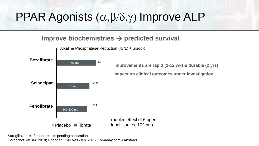# PPAR Agonists  $(\alpha,\beta/\delta,\gamma)$  Improve ALP

#### **Improve biochemistries** → **predicted survival**



Alkaline Phosphatase Reduction (IU/L) + ursodiol

Saroglitazar, elafibrinor results pending publication. Corpechot. *NEJM*. 2018; Grigorian. *Clin Res Hep*. 2015; Cymabay.com->Abstract.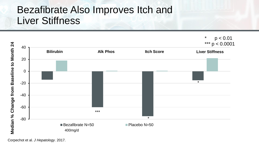## Bezafibrate Also Improves Itch and Liver Stiffness



Corpechot et al. *J Hepatology*. 2017.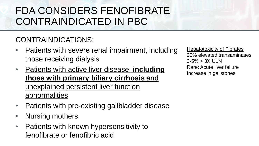## FDA CONSIDERS FENOFIBRATE CONTRAINDICATED IN PBC

#### CONTRAINDICATIONS:

- Patients with severe renal impairment, including those receiving dialysis
- Patients with active liver disease, **including those with primary biliary cirrhosis** and unexplained persistent liver function abnormalities
- Patients with pre-existing gallbladder disease
- Nursing mothers
- Patients with known hypersensitivity to fenofibrate or fenofibric acid

**Hepatotoxicity of Fibrates** 20% elevated transaminases 3-5% > 3X ULN Rare: Acute liver failure Increase in gallstones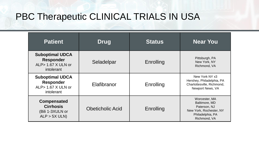### PBC Therapeutic CLINICAL TRIALS IN USA

| <b>Patient</b>                                                                    | <b>Drug</b>             | <b>Status</b> | <b>Near You</b>                                                                                               |
|-----------------------------------------------------------------------------------|-------------------------|---------------|---------------------------------------------------------------------------------------------------------------|
| <b>Suboptimal UDCA</b><br><b>Responder</b><br>ALP> 1.67 X ULN or<br>intolerant    | Seladelpar              | Enrolling     | Pittsburgh, PA<br>New York, NY<br>Richmond, VA                                                                |
| <b>Suboptimal UDCA</b><br><b>Responder</b><br>ALP $> 1.67$ X ULN or<br>intolerant | Elafibranor             | Enrolling     | New York NY x3<br>Hershey, Philadelphia, PA<br>Charlottesville, Richmond,<br>Newport News, VA                 |
| <b>Compensated</b><br><b>Cirrhosis</b><br>(Bili 1-3XULN or<br>ALP > 5X ULN        | <b>Obeticholic Acid</b> | Enrolling     | Worcester, MA<br>Baltimore, MD<br>Paterson, NJ<br>New York, Rochester, NY<br>Philadelphia, PA<br>Richmond, VA |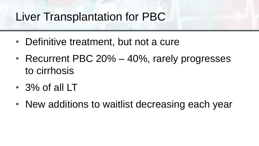# Liver Transplantation for PBC

- Definitive treatment, but not a cure
- Recurrent PBC 20% 40%, rarely progresses to cirrhosis
- 3% of all LT
- New additions to waitlist decreasing each year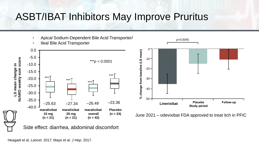## ASBT/IBAT Inhibitors May Improve Pruritus

- Apical Sodium-Dependent Bile Acid Transporter/
- Ileal Bile Acid Transporter



Side effect: diarrhea, abdominal discomfort



June 2021 – odevixibat FDA approved to treat itch in PFIC

Heagadi et al. *Lancet*. 2017; Mayo et al. *J Hep*. 2017.